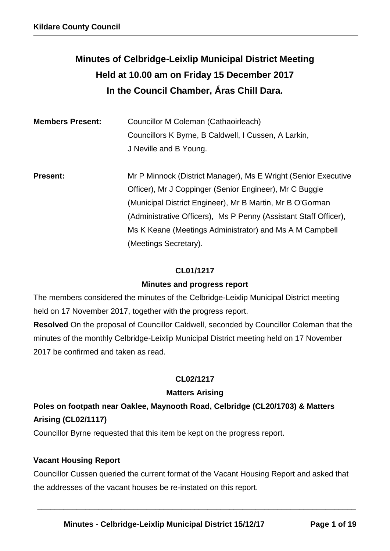# **Minutes of Celbridge-Leixlip Municipal District Meeting Held at 10.00 am on Friday 15 December 2017 In the Council Chamber, Áras Chill Dara.**

| <b>Members Present:</b> | Councillor M Coleman (Cathaoirleach)                             |  |  |  |
|-------------------------|------------------------------------------------------------------|--|--|--|
|                         | Councillors K Byrne, B Caldwell, I Cussen, A Larkin,             |  |  |  |
|                         | J Neville and B Young.                                           |  |  |  |
|                         |                                                                  |  |  |  |
| <b>Present:</b>         | Mr P Minnock (District Manager), Ms E Wright (Senior Executive   |  |  |  |
|                         | Officer), Mr J Coppinger (Senior Engineer), Mr C Buggie          |  |  |  |
|                         | (Municipal District Engineer), Mr B Martin, Mr B O'Gorman        |  |  |  |
|                         | (Administrative Officers), Ms P Penny (Assistant Staff Officer), |  |  |  |
|                         | Ms K Keane (Meetings Administrator) and Ms A M Campbell          |  |  |  |
|                         | (Meetings Secretary).                                            |  |  |  |

## **CL01/1217**

## **Minutes and progress report**

The members considered the minutes of the Celbridge-Leixlip Municipal District meeting held on 17 November 2017, together with the progress report. **Resolved** On the proposal of Councillor Caldwell, seconded by Councillor Coleman that the minutes of the monthly Celbridge-Leixlip Municipal District meeting held on 17 November 2017 be confirmed and taken as read.

## **CL02/1217**

## **Matters Arising**

## **Poles on footpath near Oaklee, Maynooth Road, Celbridge (CL20/1703) & Matters Arising (CL02/1117)**

Councillor Byrne requested that this item be kept on the progress report.

## **Vacant Housing Report**

Councillor Cussen queried the current format of the Vacant Housing Report and asked that the addresses of the vacant houses be re-instated on this report.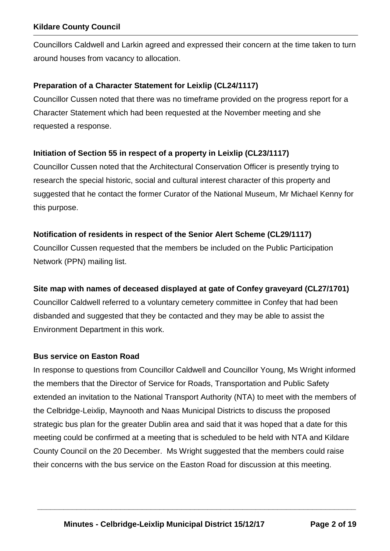Councillors Caldwell and Larkin agreed and expressed their concern at the time taken to turn around houses from vacancy to allocation.

#### **Preparation of a Character Statement for Leixlip (CL24/1117)**

Councillor Cussen noted that there was no timeframe provided on the progress report for a Character Statement which had been requested at the November meeting and she requested a response.

#### **Initiation of Section 55 in respect of a property in Leixlip (CL23/1117)**

Councillor Cussen noted that the Architectural Conservation Officer is presently trying to research the special historic, social and cultural interest character of this property and suggested that he contact the former Curator of the National Museum, Mr Michael Kenny for this purpose.

#### **Notification of residents in respect of the Senior Alert Scheme (CL29/1117)**

Councillor Cussen requested that the members be included on the Public Participation Network (PPN) mailing list.

#### **Site map with names of deceased displayed at gate of Confey graveyard (CL27/1701)**

Councillor Caldwell referred to a voluntary cemetery committee in Confey that had been disbanded and suggested that they be contacted and they may be able to assist the Environment Department in this work.

#### **Bus service on Easton Road**

In response to questions from Councillor Caldwell and Councillor Young, Ms Wright informed the members that the Director of Service for Roads, Transportation and Public Safety extended an invitation to the National Transport Authority (NTA) to meet with the members of the Celbridge-Leixlip, Maynooth and Naas Municipal Districts to discuss the proposed strategic bus plan for the greater Dublin area and said that it was hoped that a date for this meeting could be confirmed at a meeting that is scheduled to be held with NTA and Kildare County Council on the 20 December. Ms Wright suggested that the members could raise their concerns with the bus service on the Easton Road for discussion at this meeting.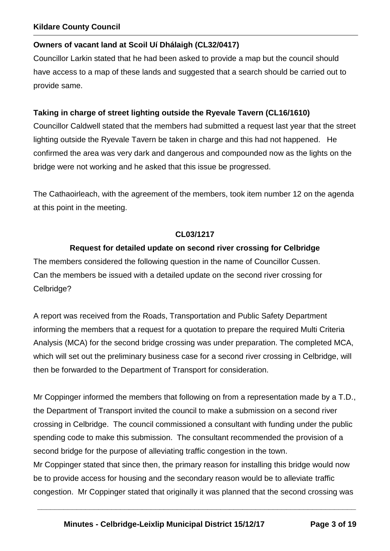#### **Owners of vacant land at Scoil Uí Dhálaigh (CL32/0417)**

Councillor Larkin stated that he had been asked to provide a map but the council should have access to a map of these lands and suggested that a search should be carried out to provide same.

#### **Taking in charge of street lighting outside the Ryevale Tavern (CL16/1610)**

Councillor Caldwell stated that the members had submitted a request last year that the street lighting outside the Ryevale Tavern be taken in charge and this had not happened. He confirmed the area was very dark and dangerous and compounded now as the lights on the bridge were not working and he asked that this issue be progressed.

The Cathaoirleach, with the agreement of the members, took item number 12 on the agenda at this point in the meeting.

#### **CL03/1217**

#### **Request for detailed update on second river crossing for Celbridge**

The members considered the following question in the name of Councillor Cussen. Can the members be issued with a detailed update on the second river crossing for Celbridge?

A report was received from the Roads, Transportation and Public Safety Department informing the members that a request for a quotation to prepare the required Multi Criteria Analysis (MCA) for the second bridge crossing was under preparation. The completed MCA, which will set out the preliminary business case for a second river crossing in Celbridge, will then be forwarded to the Department of Transport for consideration.

Mr Coppinger informed the members that following on from a representation made by a T.D., the Department of Transport invited the council to make a submission on a second river crossing in Celbridge. The council commissioned a consultant with funding under the public spending code to make this submission. The consultant recommended the provision of a second bridge for the purpose of alleviating traffic congestion in the town.

Mr Coppinger stated that since then, the primary reason for installing this bridge would now be to provide access for housing and the secondary reason would be to alleviate traffic congestion. Mr Coppinger stated that originally it was planned that the second crossing was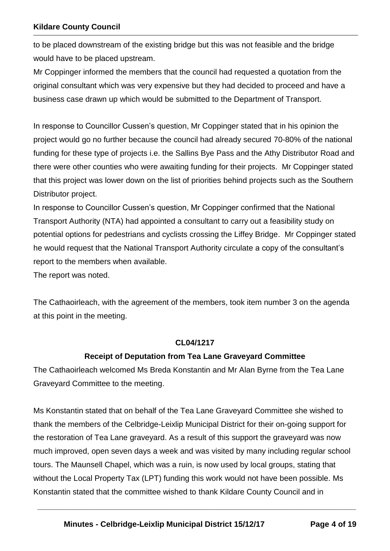to be placed downstream of the existing bridge but this was not feasible and the bridge would have to be placed upstream.

Mr Coppinger informed the members that the council had requested a quotation from the original consultant which was very expensive but they had decided to proceed and have a business case drawn up which would be submitted to the Department of Transport.

In response to Councillor Cussen's question, Mr Coppinger stated that in his opinion the project would go no further because the council had already secured 70-80% of the national funding for these type of projects i.e. the Sallins Bye Pass and the Athy Distributor Road and there were other counties who were awaiting funding for their projects. Mr Coppinger stated that this project was lower down on the list of priorities behind projects such as the Southern Distributor project.

In response to Councillor Cussen's question, Mr Coppinger confirmed that the National Transport Authority (NTA) had appointed a consultant to carry out a feasibility study on potential options for pedestrians and cyclists crossing the Liffey Bridge. Mr Coppinger stated he would request that the National Transport Authority circulate a copy of the consultant's report to the members when available.

The report was noted.

The Cathaoirleach, with the agreement of the members, took item number 3 on the agenda at this point in the meeting.

#### **CL04/1217**

#### **Receipt of Deputation from Tea Lane Graveyard Committee**

The Cathaoirleach welcomed Ms Breda Konstantin and Mr Alan Byrne from the Tea Lane Graveyard Committee to the meeting.

Ms Konstantin stated that on behalf of the Tea Lane Graveyard Committee she wished to thank the members of the Celbridge-Leixlip Municipal District for their on-going support for the restoration of Tea Lane graveyard. As a result of this support the graveyard was now much improved, open seven days a week and was visited by many including regular school tours. The Maunsell Chapel, which was a ruin, is now used by local groups, stating that without the Local Property Tax (LPT) funding this work would not have been possible. Ms Konstantin stated that the committee wished to thank Kildare County Council and in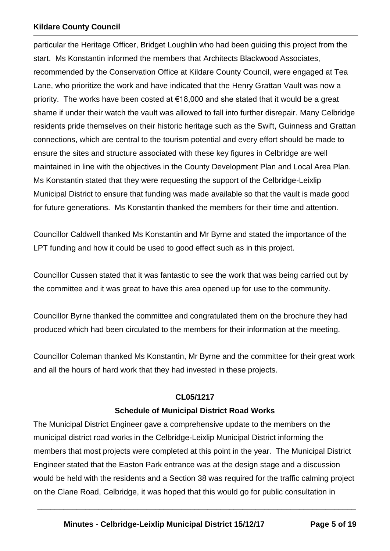particular the Heritage Officer, Bridget Loughlin who had been guiding this project from the start. Ms Konstantin informed the members that Architects Blackwood Associates, recommended by the Conservation Office at Kildare County Council, were engaged at Tea Lane, who prioritize the work and have indicated that the Henry Grattan Vault was now a priority. The works have been costed at  $\epsilon$ 18,000 and she stated that it would be a great shame if under their watch the vault was allowed to fall into further disrepair. Many Celbridge residents pride themselves on their historic heritage such as the Swift, Guinness and Grattan connections, which are central to the tourism potential and every effort should be made to ensure the sites and structure associated with these key figures in Celbridge are well maintained in line with the objectives in the County Development Plan and Local Area Plan. Ms Konstantin stated that they were requesting the support of the Celbridge-Leixlip Municipal District to ensure that funding was made available so that the vault is made good for future generations. Ms Konstantin thanked the members for their time and attention.

Councillor Caldwell thanked Ms Konstantin and Mr Byrne and stated the importance of the LPT funding and how it could be used to good effect such as in this project.

Councillor Cussen stated that it was fantastic to see the work that was being carried out by the committee and it was great to have this area opened up for use to the community.

Councillor Byrne thanked the committee and congratulated them on the brochure they had produced which had been circulated to the members for their information at the meeting.

Councillor Coleman thanked Ms Konstantin, Mr Byrne and the committee for their great work and all the hours of hard work that they had invested in these projects.

#### **CL05/1217**

#### **Schedule of Municipal District Road Works**

The Municipal District Engineer gave a comprehensive update to the members on the municipal district road works in the Celbridge-Leixlip Municipal District informing the members that most projects were completed at this point in the year. The Municipal District Engineer stated that the Easton Park entrance was at the design stage and a discussion would be held with the residents and a Section 38 was required for the traffic calming project on the Clane Road, Celbridge, it was hoped that this would go for public consultation in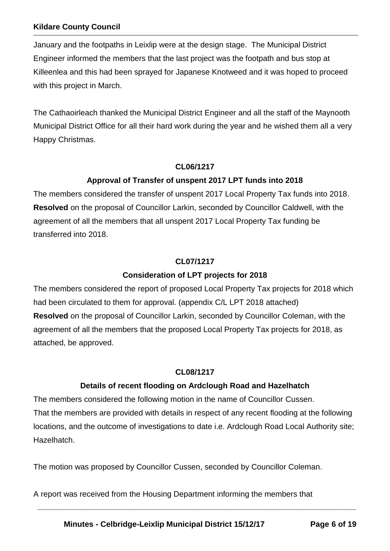January and the footpaths in Leixlip were at the design stage. The Municipal District Engineer informed the members that the last project was the footpath and bus stop at Killeenlea and this had been sprayed for Japanese Knotweed and it was hoped to proceed with this project in March.

The Cathaoirleach thanked the Municipal District Engineer and all the staff of the Maynooth Municipal District Office for all their hard work during the year and he wished them all a very Happy Christmas.

#### **CL06/1217**

## **Approval of Transfer of unspent 2017 LPT funds into 2018**

The members considered the transfer of unspent 2017 Local Property Tax funds into 2018. **Resolved** on the proposal of Councillor Larkin, seconded by Councillor Caldwell, with the agreement of all the members that all unspent 2017 Local Property Tax funding be transferred into 2018.

#### **CL07/1217**

## **Consideration of LPT projects for 2018**

The members considered the report of proposed Local Property Tax projects for 2018 which had been circulated to them for approval. (appendix C/L LPT 2018 attached) **Resolved** on the proposal of Councillor Larkin, seconded by Councillor Coleman, with the agreement of all the members that the proposed Local Property Tax projects for 2018, as attached, be approved.

#### **CL08/1217**

## **Details of recent flooding on Ardclough Road and Hazelhatch**

The members considered the following motion in the name of Councillor Cussen. That the members are provided with details in respect of any recent flooding at the following locations, and the outcome of investigations to date i.e. Ardclough Road Local Authority site; Hazelhatch.

**\_\_\_\_\_\_\_\_\_\_\_\_\_\_\_\_\_\_\_\_\_\_\_\_\_\_\_\_\_\_\_\_\_\_\_\_\_\_\_\_\_\_\_\_\_\_\_\_\_\_\_\_\_\_\_\_\_\_\_\_\_\_\_\_\_\_\_\_\_\_\_\_\_** 

The motion was proposed by Councillor Cussen, seconded by Councillor Coleman.

A report was received from the Housing Department informing the members that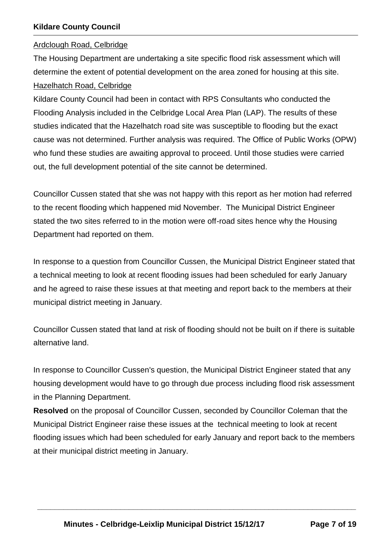#### Ardclough Road, Celbridge

The Housing Department are undertaking a site specific flood risk assessment which will determine the extent of potential development on the area zoned for housing at this site. Hazelhatch Road, Celbridge

Kildare County Council had been in contact with RPS Consultants who conducted the Flooding Analysis included in the Celbridge Local Area Plan (LAP). The results of these studies indicated that the Hazelhatch road site was susceptible to flooding but the exact cause was not determined. Further analysis was required. The Office of Public Works (OPW) who fund these studies are awaiting approval to proceed. Until those studies were carried out, the full development potential of the site cannot be determined.

Councillor Cussen stated that she was not happy with this report as her motion had referred to the recent flooding which happened mid November. The Municipal District Engineer stated the two sites referred to in the motion were off-road sites hence why the Housing Department had reported on them.

In response to a question from Councillor Cussen, the Municipal District Engineer stated that a technical meeting to look at recent flooding issues had been scheduled for early January and he agreed to raise these issues at that meeting and report back to the members at their municipal district meeting in January.

Councillor Cussen stated that land at risk of flooding should not be built on if there is suitable alternative land.

In response to Councillor Cussen's question, the Municipal District Engineer stated that any housing development would have to go through due process including flood risk assessment in the Planning Department.

**Resolved** on the proposal of Councillor Cussen, seconded by Councillor Coleman that the Municipal District Engineer raise these issues at the technical meeting to look at recent flooding issues which had been scheduled for early January and report back to the members at their municipal district meeting in January.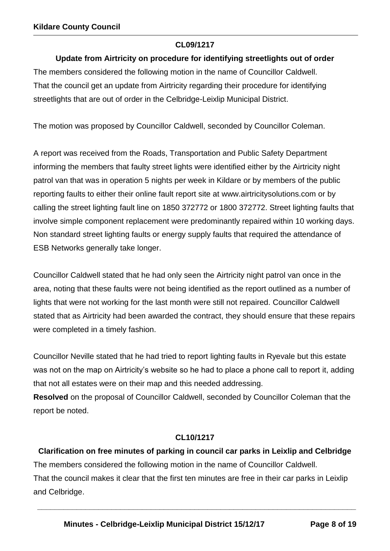#### **CL09/1217**

## **Update from Airtricity on procedure for identifying streetlights out of order**

The members considered the following motion in the name of Councillor Caldwell. That the council get an update from Airtricity regarding their procedure for identifying streetlights that are out of order in the Celbridge-Leixlip Municipal District.

The motion was proposed by Councillor Caldwell, seconded by Councillor Coleman.

A report was received from the Roads, Transportation and Public Safety Department informing the members that faulty street lights were identified either by the Airtricity night patrol van that was in operation 5 nights per week in Kildare or by members of the public reporting faults to either their online fault report site at [www.airtricitysolutions.com](http://www.airtricitysolutions.com/) or by calling the street lighting fault line on 1850 372772 or 1800 372772. Street lighting faults that involve simple component replacement were predominantly repaired within 10 working days. Non standard street lighting faults or energy supply faults that required the attendance of ESB Networks generally take longer.

Councillor Caldwell stated that he had only seen the Airtricity night patrol van once in the area, noting that these faults were not being identified as the report outlined as a number of lights that were not working for the last month were still not repaired. Councillor Caldwell stated that as Airtricity had been awarded the contract, they should ensure that these repairs were completed in a timely fashion.

Councillor Neville stated that he had tried to report lighting faults in Ryevale but this estate was not on the map on Airtricity's website so he had to place a phone call to report it, adding that not all estates were on their map and this needed addressing.

**Resolved** on the proposal of Councillor Caldwell, seconded by Councillor Coleman that the report be noted.

## **CL10/1217**

**Clarification on free minutes of parking in council car parks in Leixlip and Celbridge** The members considered the following motion in the name of Councillor Caldwell. That the council makes it clear that the first ten minutes are free in their car parks in Leixlip and Celbridge.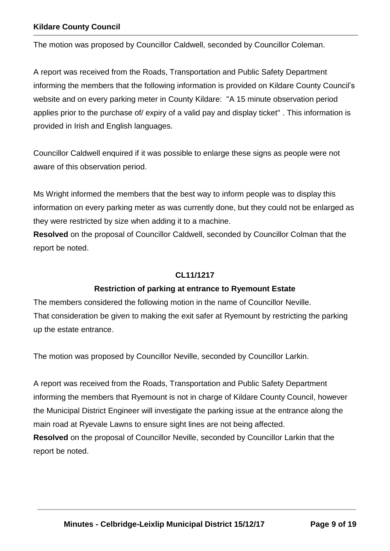The motion was proposed by Councillor Caldwell, seconded by Councillor Coleman.

A report was received from the Roads, Transportation and Public Safety Department informing the members that the following information is provided on Kildare County Council's website and on every parking meter in County Kildare: "A 15 minute observation period applies prior to the purchase of/ expiry of a valid pay and display ticket" . This information is provided in Irish and English languages.

Councillor Caldwell enquired if it was possible to enlarge these signs as people were not aware of this observation period.

Ms Wright informed the members that the best way to inform people was to display this information on every parking meter as was currently done, but they could not be enlarged as they were restricted by size when adding it to a machine.

**Resolved** on the proposal of Councillor Caldwell, seconded by Councillor Colman that the report be noted.

#### **CL11/1217**

#### **Restriction of parking at entrance to Ryemount Estate**

The members considered the following motion in the name of Councillor Neville. That consideration be given to making the exit safer at Ryemount by restricting the parking up the estate entrance.

The motion was proposed by Councillor Neville, seconded by Councillor Larkin.

A report was received from the Roads, Transportation and Public Safety Department informing the members that Ryemount is not in charge of Kildare County Council, however the Municipal District Engineer will investigate the parking issue at the entrance along the main road at Ryevale Lawns to ensure sight lines are not being affected. **Resolved** on the proposal of Councillor Neville, seconded by Councillor Larkin that the report be noted.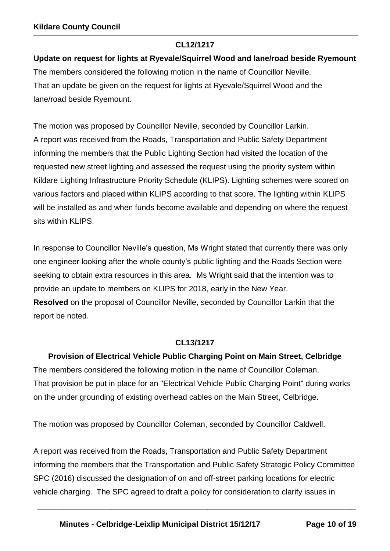#### **CL12/1217**

## **Update on request for lights at Ryevale/Squirrel Wood and lane/road beside Ryemount**

The members considered the following motion in the name of Councillor Neville. That an update be given on the request for lights at Ryevale/Squirrel Wood and the lane/road beside Ryemount.

The motion was proposed by Councillor Neville, seconded by Councillor Larkin. A report was received from the Roads, Transportation and Public Safety Department informing the members that the Public Lighting Section had visited the location of the requested new street lighting and assessed the request using the priority system within Kildare Lighting Infrastructure Priority Schedule (KLIPS). Lighting schemes were scored on various factors and placed within KLIPS according to that score. The lighting within KLIPS will be installed as and when funds become available and depending on where the request sits within KLIPS.

In response to Councillor Neville's question, Ms Wright stated that currently there was only one engineer looking after the whole county's public lighting and the Roads Section were seeking to obtain extra resources in this area. Ms Wright said that the intention was to provide an update to members on KLIPS for 2018, early in the New Year. **Resolved** on the proposal of Councillor Neville, seconded by Councillor Larkin that the report be noted.

#### **CL13/1217**

**Provision of Electrical Vehicle Public Charging Point on Main Street, Celbridge** The members considered the following motion in the name of Councillor Coleman. That provision be put in place for an "Electrical Vehicle Public Charging Point" during works on the under grounding of existing overhead cables on the Main Street, Celbridge.

The motion was proposed by Councillor Coleman, seconded by Councillor Caldwell.

A report was received from the Roads, Transportation and Public Safety Department informing the members that the Transportation and Public Safety Strategic Policy Committee SPC (2016) discussed the designation of on and off-street parking locations for electric vehicle charging. The SPC agreed to draft a policy for consideration to clarify issues in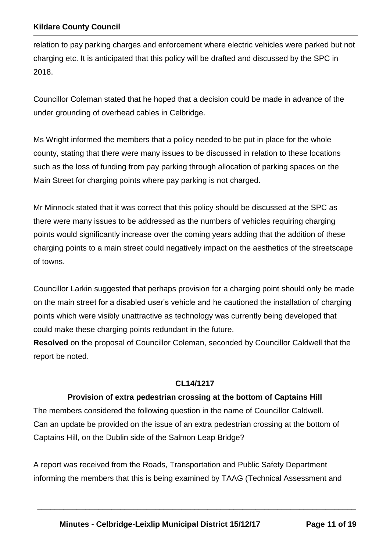relation to pay parking charges and enforcement where electric vehicles were parked but not charging etc. It is anticipated that this policy will be drafted and discussed by the SPC in 2018.

Councillor Coleman stated that he hoped that a decision could be made in advance of the under grounding of overhead cables in Celbridge.

Ms Wright informed the members that a policy needed to be put in place for the whole county, stating that there were many issues to be discussed in relation to these locations such as the loss of funding from pay parking through allocation of parking spaces on the Main Street for charging points where pay parking is not charged.

Mr Minnock stated that it was correct that this policy should be discussed at the SPC as there were many issues to be addressed as the numbers of vehicles requiring charging points would significantly increase over the coming years adding that the addition of these charging points to a main street could negatively impact on the aesthetics of the streetscape of towns.

Councillor Larkin suggested that perhaps provision for a charging point should only be made on the main street for a disabled user's vehicle and he cautioned the installation of charging points which were visibly unattractive as technology was currently being developed that could make these charging points redundant in the future.

**Resolved** on the proposal of Councillor Coleman, seconded by Councillor Caldwell that the report be noted.

#### **CL14/1217**

#### **Provision of extra pedestrian crossing at the bottom of Captains Hill**

The members considered the following question in the name of Councillor Caldwell. Can an update be provided on the issue of an extra pedestrian crossing at the bottom of Captains Hill, on the Dublin side of the Salmon Leap Bridge?

A report was received from the Roads, Transportation and Public Safety Department informing the members that this is being examined by TAAG (Technical Assessment and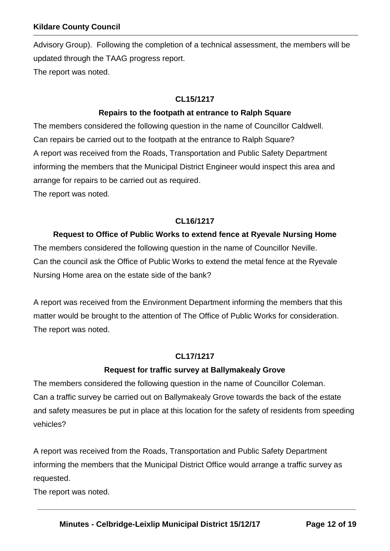Advisory Group). Following the completion of a technical assessment, the members will be updated through the TAAG progress report. The report was noted.

#### **CL15/1217**

#### **Repairs to the footpath at entrance to Ralph Square**

The members considered the following question in the name of Councillor Caldwell. Can repairs be carried out to the footpath at the entrance to Ralph Square? A report was received from the Roads, Transportation and Public Safety Department informing the members that the Municipal District Engineer would inspect this area and arrange for repairs to be carried out as required.

The report was noted.

#### **CL16/1217**

## **Request to Office of Public Works to extend fence at Ryevale Nursing Home** The members considered the following question in the name of Councillor Neville. Can the council ask the Office of Public Works to extend the metal fence at the Ryevale Nursing Home area on the estate side of the bank?

A report was received from the Environment Department informing the members that this matter would be brought to the attention of The Office of Public Works for consideration. The report was noted.

#### **CL17/1217**

## **Request for traffic survey at Ballymakealy Grove**

The members considered the following question in the name of Councillor Coleman. Can a traffic survey be carried out on Ballymakealy Grove towards the back of the estate and safety measures be put in place at this location for the safety of residents from speeding vehicles?

A report was received from the Roads, Transportation and Public Safety Department informing the members that the Municipal District Office would arrange a traffic survey as requested.

**\_\_\_\_\_\_\_\_\_\_\_\_\_\_\_\_\_\_\_\_\_\_\_\_\_\_\_\_\_\_\_\_\_\_\_\_\_\_\_\_\_\_\_\_\_\_\_\_\_\_\_\_\_\_\_\_\_\_\_\_\_\_\_\_\_\_\_\_\_\_\_\_\_** 

The report was noted.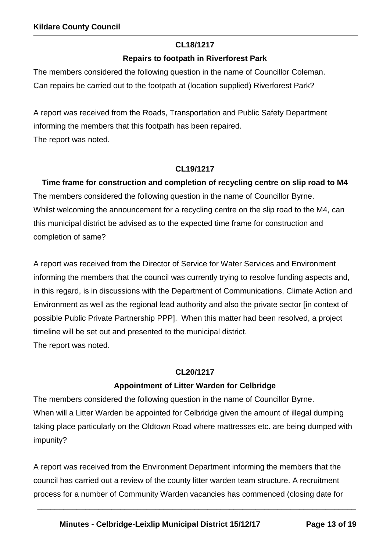#### **CL18/1217**

#### **Repairs to footpath in Riverforest Park**

The members considered the following question in the name of Councillor Coleman. Can repairs be carried out to the footpath at (location supplied) Riverforest Park?

A report was received from the Roads, Transportation and Public Safety Department informing the members that this footpath has been repaired. The report was noted.

#### **CL19/1217**

**Time frame for construction and completion of recycling centre on slip road to M4** The members considered the following question in the name of Councillor Byrne. Whilst welcoming the announcement for a recycling centre on the slip road to the M4, can this municipal district be advised as to the expected time frame for construction and completion of same?

A report was received from the Director of Service for Water Services and Environment informing the members that the council was currently trying to resolve funding aspects and, in this regard, is in discussions with the Department of Communications, Climate Action and Environment as well as the regional lead authority and also the private sector [in context of possible Public Private Partnership PPP]. When this matter had been resolved, a project timeline will be set out and presented to the municipal district. The report was noted.

## **CL20/1217**

## **Appointment of Litter Warden for Celbridge**

The members considered the following question in the name of Councillor Byrne. When will a Litter Warden be appointed for Celbridge given the amount of illegal dumping taking place particularly on the Oldtown Road where mattresses etc. are being dumped with impunity?

A report was received from the Environment Department informing the members that the council has carried out a review of the county litter warden team structure. A recruitment process for a number of Community Warden vacancies has commenced (closing date for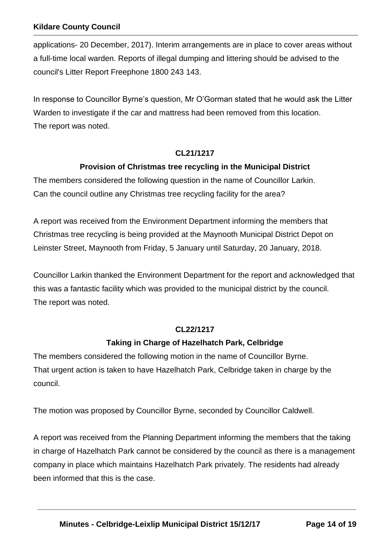applications- 20 December, 2017). Interim arrangements are in place to cover areas without a full-time local warden. Reports of illegal dumping and littering should be advised to the council's Litter Report Freephone 1800 243 143.

In response to Councillor Byrne's question, Mr O'Gorman stated that he would ask the Litter Warden to investigate if the car and mattress had been removed from this location. The report was noted.

## **CL21/1217**

#### **Provision of Christmas tree recycling in the Municipal District**

The members considered the following question in the name of Councillor Larkin. Can the council outline any Christmas tree recycling facility for the area?

A report was received from the Environment Department informing the members that Christmas tree recycling is being provided at the Maynooth Municipal District Depot on Leinster Street, Maynooth from Friday, 5 January until Saturday, 20 January, 2018.

Councillor Larkin thanked the Environment Department for the report and acknowledged that this was a fantastic facility which was provided to the municipal district by the council. The report was noted.

#### **CL22/1217**

#### **Taking in Charge of Hazelhatch Park, Celbridge**

The members considered the following motion in the name of Councillor Byrne. That urgent action is taken to have Hazelhatch Park, Celbridge taken in charge by the council.

The motion was proposed by Councillor Byrne, seconded by Councillor Caldwell.

A report was received from the Planning Department informing the members that the taking in charge of Hazelhatch Park cannot be considered by the council as there is a management company in place which maintains Hazelhatch Park privately. The residents had already been informed that this is the case.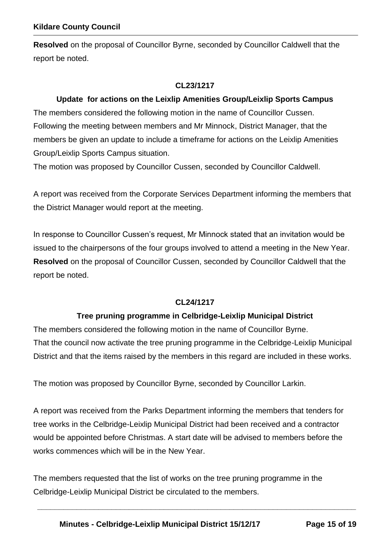**Resolved** on the proposal of Councillor Byrne, seconded by Councillor Caldwell that the report be noted.

#### **CL23/1217**

#### **Update for actions on the Leixlip Amenities Group/Leixlip Sports Campus**

The members considered the following motion in the name of Councillor Cussen. Following the meeting between members and Mr Minnock, District Manager, that the members be given an update to include a timeframe for actions on the Leixlip Amenities Group/Leixlip Sports Campus situation.

The motion was proposed by Councillor Cussen, seconded by Councillor Caldwell.

A report was received from the Corporate Services Department informing the members that the District Manager would report at the meeting.

In response to Councillor Cussen's request, Mr Minnock stated that an invitation would be issued to the chairpersons of the four groups involved to attend a meeting in the New Year. **Resolved** on the proposal of Councillor Cussen, seconded by Councillor Caldwell that the report be noted.

#### **CL24/1217**

#### **Tree pruning programme in Celbridge-Leixlip Municipal District**

The members considered the following motion in the name of Councillor Byrne. That the council now activate the tree pruning programme in the Celbridge-Leixlip Municipal District and that the items raised by the members in this regard are included in these works.

The motion was proposed by Councillor Byrne, seconded by Councillor Larkin.

A report was received from the Parks Department informing the members that tenders for tree works in the Celbridge-Leixlip Municipal District had been received and a contractor would be appointed before Christmas. A start date will be advised to members before the works commences which will be in the New Year.

The members requested that the list of works on the tree pruning programme in the Celbridge-Leixlip Municipal District be circulated to the members.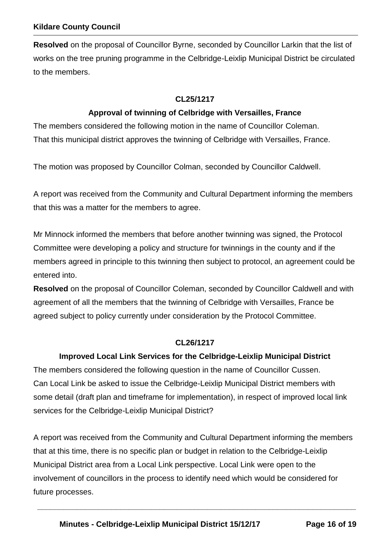**Resolved** on the proposal of Councillor Byrne, seconded by Councillor Larkin that the list of works on the tree pruning programme in the Celbridge-Leixlip Municipal District be circulated to the members.

## **CL25/1217**

#### **Approval of twinning of Celbridge with Versailles, France**

The members considered the following motion in the name of Councillor Coleman. That this municipal district approves the twinning of Celbridge with Versailles, France.

The motion was proposed by Councillor Colman, seconded by Councillor Caldwell.

A report was received from the Community and Cultural Department informing the members that this was a matter for the members to agree.

Mr Minnock informed the members that before another twinning was signed, the Protocol Committee were developing a policy and structure for twinnings in the county and if the members agreed in principle to this twinning then subject to protocol, an agreement could be entered into.

**Resolved** on the proposal of Councillor Coleman, seconded by Councillor Caldwell and with agreement of all the members that the twinning of Celbridge with Versailles, France be agreed subject to policy currently under consideration by the Protocol Committee.

#### **CL26/1217**

#### **Improved Local Link Services for the Celbridge-Leixlip Municipal District**

The members considered the following question in the name of Councillor Cussen. Can Local Link be asked to issue the Celbridge-Leixlip Municipal District members with some detail (draft plan and timeframe for implementation), in respect of improved local link services for the Celbridge-Leixlip Municipal District?

A report was received from the Community and Cultural Department informing the members that at this time, there is no specific plan or budget in relation to the Celbridge-Leixlip Municipal District area from a Local Link perspective. Local Link were open to the involvement of councillors in the process to identify need which would be considered for future processes.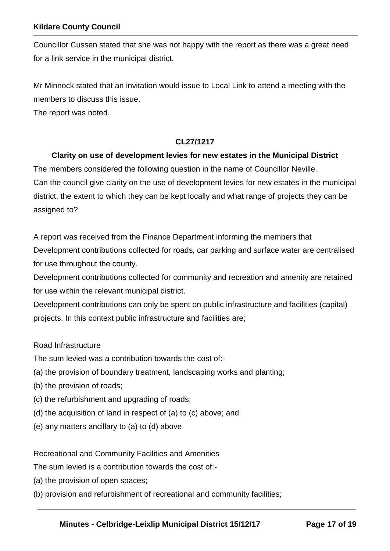Councillor Cussen stated that she was not happy with the report as there was a great need for a link service in the municipal district.

Mr Minnock stated that an invitation would issue to Local Link to attend a meeting with the members to discuss this issue.

The report was noted.

#### **CL27/1217**

#### **Clarity on use of development levies for new estates in the Municipal District**

The members considered the following question in the name of Councillor Neville. Can the council give clarity on the use of development levies for new estates in the municipal district, the extent to which they can be kept locally and what range of projects they can be assigned to?

A report was received from the Finance Department informing the members that Development contributions collected for roads, car parking and surface water are centralised for use throughout the county.

Development contributions collected for community and recreation and amenity are retained for use within the relevant municipal district.

Development contributions can only be spent on public infrastructure and facilities (capital) projects. In this context public infrastructure and facilities are;

#### Road Infrastructure

The sum levied was a contribution towards the cost of:-

- (a) the provision of boundary treatment, landscaping works and planting;
- (b) the provision of roads;
- (c) the refurbishment and upgrading of roads;
- (d) the acquisition of land in respect of (a) to (c) above; and
- (e) any matters ancillary to (a) to (d) above

Recreational and Community Facilities and Amenities

The sum levied is a contribution towards the cost of:-

- (a) the provision of open spaces;
- (b) provision and refurbishment of recreational and community facilities;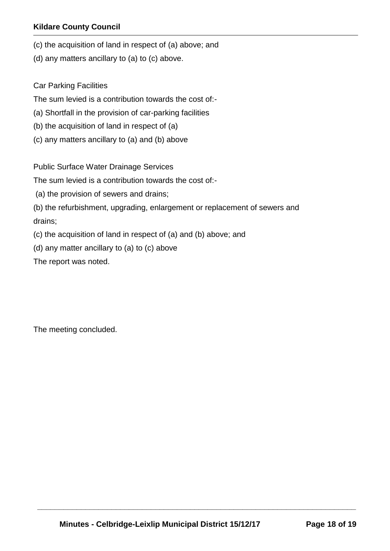- (c) the acquisition of land in respect of (a) above; and
- (d) any matters ancillary to (a) to (c) above.

Car Parking Facilities

The sum levied is a contribution towards the cost of:-

- (a) Shortfall in the provision of car-parking facilities
- (b) the acquisition of land in respect of (a)
- (c) any matters ancillary to (a) and (b) above

Public Surface Water Drainage Services

The sum levied is a contribution towards the cost of:-

(a) the provision of sewers and drains;

(b) the refurbishment, upgrading, enlargement or replacement of sewers and drains;

(c) the acquisition of land in respect of (a) and (b) above; and

(d) any matter ancillary to (a) to (c) above

The report was noted.

The meeting concluded.